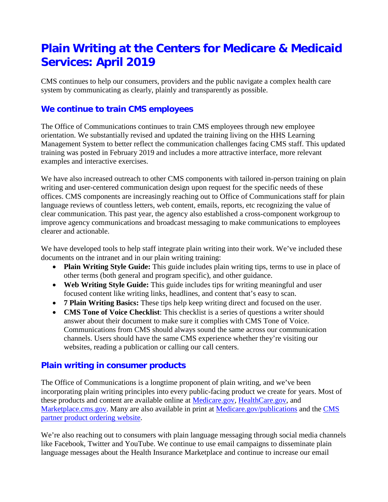# **Plain Writing at the Centers for Medicare & Medicaid Services: April 2019**

CMS continues to help our consumers, providers and the public navigate a complex health care system by communicating as clearly, plainly and transparently as possible.

# **We continue to train CMS employees**

The Office of Communications continues to train CMS employees through new employee orientation. We substantially revised and updated the training living on the HHS Learning Management System to better reflect the communication challenges facing CMS staff. This updated training was posted in February 2019 and includes a more attractive interface, more relevant examples and interactive exercises.

We have also increased outreach to other CMS components with tailored in-person training on plain writing and user-centered communication design upon request for the specific needs of these offices. CMS components are increasingly reaching out to Office of Communications staff for plain language reviews of countless letters, web content, emails, reports, etc recognizing the value of clear communication. This past year, the agency also established a cross-component workgroup to improve agency communications and broadcast messaging to make communications to employees clearer and actionable.

We have developed tools to help staff integrate plain writing into their work. We've included these documents on the intranet and in our plain writing training:

- **Plain Writing Style Guide:** This guide includes plain writing tips, terms to use in place of other terms (both general and program specific), and other guidance.
- **Web Writing Style Guide:** This guide includes tips for writing meaningful and user focused content like writing links, headlines, and content that's easy to scan.
- **7 Plain Writing Basics:** These tips help keep writing direct and focused on the user.
- **CMS Tone of Voice Checklist**: This checklist is a series of questions a writer should answer about their document to make sure it complies with CMS Tone of Voice. Communications from CMS should always sound the same across our communication channels. Users should have the same CMS experience whether they're visiting our websites, reading a publication or calling our call centers.

# **Plain writing in consumer products**

The Office of Communications is a longtime proponent of plain writing, and we've been incorporating plain writing principles into every public-facing product we create for years. Most of these products and content are available online at [Medicare.gov,](http://www.medicare.gov/) [HealthCare.gov,](http://www.healthcare.gov/) and [Marketplace.cms.gov.](https://marketplace.cms.gov/) Many are also available in print at [Medicare.gov/publications](http://www.medicare.gov/publications) and the CMS [partner product ordering website.](http://productordering.cms.hhs.gov/)

We're also reaching out to consumers with plain language messaging through social media channels like Facebook, Twitter and YouTube. We continue to use email campaigns to disseminate plain language messages about the Health Insurance Marketplace and continue to increase our email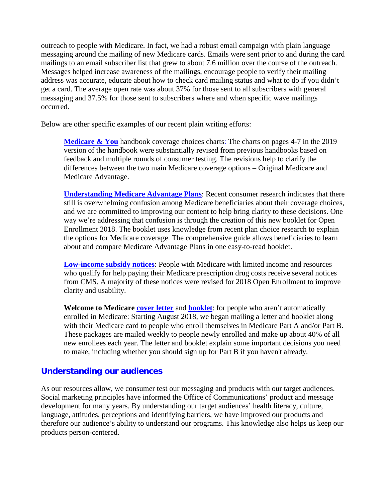outreach to people with Medicare. In fact, we had a robust email campaign with plain language messaging around the mailing of new Medicare cards. Emails were sent prior to and during the card mailings to an email subscriber list that grew to about 7.6 million over the course of the outreach. Messages helped increase awareness of the mailings, encourage people to verify their mailing address was accurate, educate about how to check card mailing status and what to do if you didn't get a card. The average open rate was about 37% for those sent to all subscribers with general messaging and 37.5% for those sent to subscribers where and when specific wave mailings occurred.

Below are other specific examples of our recent plain writing efforts:

**[Medicare & You](https://www.medicare.gov/Pubs/pdf/10050-Medicare-and-You.pdf)** handbook coverage choices charts: The charts on pages 4-7 in the 2019 version of the handbook were substantially revised from previous handbooks based on feedback and multiple rounds of consumer testing. The revisions help to clarify the differences between the two main Medicare coverage options – Original Medicare and Medicare Advantage.

**[Understanding Medicare Advantage Plans](https://www.medicare.gov/Pubs/pdf/12026-Understanding-Medicare-Advantage-Plans.pdf)**: Recent consumer research indicates that there still is overwhelming confusion among Medicare beneficiaries about their coverage choices, and we are committed to improving our content to help bring clarity to these decisions. One way we're addressing that confusion is through the creation of this new booklet for Open Enrollment 2018. The booklet uses knowledge from recent plan choice research to explain the options for Medicare coverage. The comprehensive guide allows beneficiaries to learn about and compare Medicare Advantage Plans in one easy-to-read booklet.

**[Low-income subsidy notices](https://www.cms.gov/Medicare/Prescription-Drug-Coverage/LimitedIncomeandResources/LIS-Notices-and-Mailings.html)**: People with Medicare with limited income and resources who qualify for help paying their Medicare prescription drug costs receive several notices from CMS. A majority of these notices were revised for 2018 Open Enrollment to improve clarity and usability.

**Welcome to Medicare [cover letter](https://www.medicare.gov/sites/default/files/2018-09/2018-New-Accretes-Package-Letter-Standard-Print_0.pdf)** and **[booklet](https://www.medicare.gov/sites/default/files/2018-09/12020-Welcome-to-Medicare.pdf)**: for people who aren't automatically enrolled in Medicare: Starting August 2018, we began mailing a letter and booklet along with their Medicare card to people who enroll themselves in Medicare Part A and/or Part B. These packages are mailed weekly to people newly enrolled and make up about 40% of all new enrollees each year. The letter and booklet explain some important decisions you need to make, including whether you should sign up for Part B if you haven't already.

#### **Understanding our audiences**

As our resources allow, we consumer test our messaging and products with our target audiences. Social marketing principles have informed the Office of Communications' product and message development for many years. By understanding our target audiences' health literacy, culture, language, attitudes, perceptions and identifying barriers, we have improved our products and therefore our audience's ability to understand our programs. This knowledge also helps us keep our products person-centered.